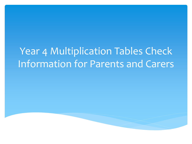# Year 4 Multiplication Tables Check Information for Parents and Carers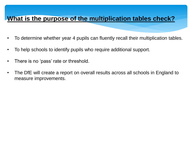### **What is the purpose of the multiplication tables check?**

- To determine whether year 4 pupils can fluently recall their multiplication tables.
- To help schools to identify pupils who require additional support.
- There is no 'pass' rate or threshold.
- The DfE will create a report on overall results across all schools in England to measure improvements.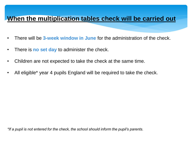### **When the multiplication tables check will be carried out**

- There will be **3-week window in June** for the administration of the check.
- There is **no set day** to administer the check.
- Children are not expected to take the check at the same time.
- All eligible<sup>\*</sup> year 4 pupils England will be required to take the check.

*\*If a pupil is not entered for the check, the school should inform the pupil's parents.*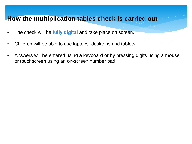### **How the multiplication tables check is carried out**

- The check will be **fully digital** and take place on screen.
- Children will be able to use laptops, desktops and tablets.
- Answers will be entered using a keyboard or by pressing digits using a mouse or touchscreen using an on-screen number pad.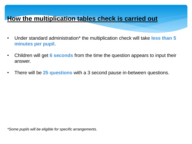### **How the multiplication tables check is carried out**

- Under standard administration\* the multiplication check will take **less than 5 minutes per pupil**.
- Children will get **6 seconds** from the time the question appears to input their answer.
- There will be **25 questions** with a 3 second pause in-between questions.

*\*Some pupils will be eligible for specific arrangements.*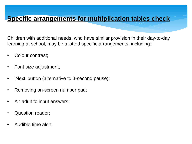### **Specific arrangements for multiplication tables check**

Children with additional needs, who have similar provision in their day-to-day learning at school, may be allotted specific arrangements, including:

- Colour contrast;
- Font size adjustment;
- 'Next' button (alternative to 3-second pause);
- Removing on-screen number pad;
- An adult to input answers;
- Question reader;
- Audible time alert.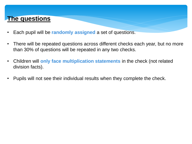### **The questions**

- Each pupil will be **randomly assigned** a set of questions.
- There will be repeated questions across different checks each year, but no more than 30% of questions will be repeated in any two checks.
- Children will **only face multiplication statements** in the check (not related division facts).
- Pupils will not see their individual results when they complete the check.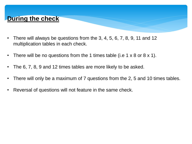### **During the check**

- There will always be questions from the 3, 4, 5, 6, 7, 8, 9, 11 and 12 multiplication tables in each check.
- There will be no questions from the 1 times table (i.e 1 x 8 or 8 x 1).
- The 6, 7, 8, 9 and 12 times tables are more likely to be asked.
- There will only be a maximum of 7 questions from the 2, 5 and 10 times tables.
- Reversal of questions will not feature in the same check.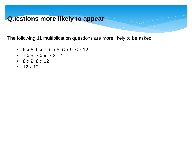The following 11 multiplication questions are more likely to be asked:

- 6 x 6, 6 x 7, 6 x 8, 6 x 9, 6 x 12
- $7 \times 8, 7 \times 9, 7 \times 12$
- 8 x 9, 8 x 12
- $12 \times 12$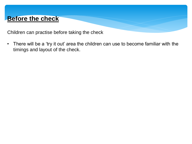### **Before the check**

Children can practise before taking the check

• There will be a 'try it out' area the children can use to become familiar with the timings and layout of the check.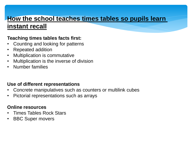# **How the school teaches times tables so pupils learn**

### **instant recall**

#### **Teaching times tables facts first:**

- Counting and looking for patterns
- Repeated addition
- Multiplication is commutative
- Multiplication is the inverse of division
- Number families

#### **Use of different representations**

- Concrete manipulatives such as counters or multilink cubes
- Pictorial representations such as arrays

#### **Online resources**

- Times Tables Rock Stars
- **BBC Super movers**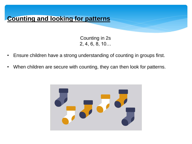## **Counting and looking for patterns**

Counting in 2s 2, 4, 6, 8, 10…

- Ensure children have a strong understanding of counting in groups first.
- When children are secure with counting, they can then look for patterns.

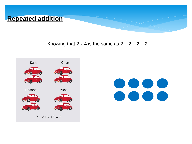

Knowing that  $2 \times 4$  is the same as  $2 + 2 + 2 + 2$ 



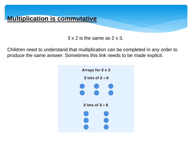

3 x 2 is the same as 2 x 3.

Children need to understand that multiplication can be completed in any order to produce the same answer. Sometimes this link needs to be made explicit.

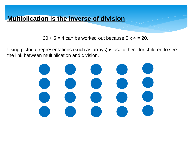$20 \div 5 = 4$  can be worked out because  $5 \times 4 = 20$ .

Using pictorial representations (such as arrays) is useful here for children to see the link between multiplication and division.

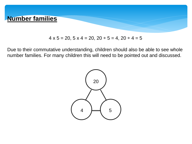

#### $4 \times 5 = 20, 5 \times 4 = 20, 20 \div 5 = 4, 20 \div 4 = 5$

Due to their commutative understanding, children should also be able to see whole number families. For many children this will need to be pointed out and discussed.

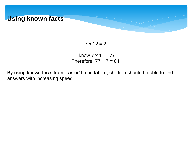

 $7 \times 12 = ?$ 

 $I$  know  $7 \times 11 = 77$ Therefore,  $77 + 7 = 84$ 

By using known facts from 'easier' times tables, children should be able to find answers with increasing speed.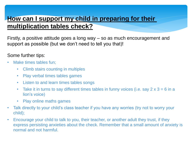### **How can I support my child in preparing for their multiplication tables check?**

Firstly, a positive attitude goes a long way – so as much encouragement and support as possible (but we don't need to tell you that)!

#### Some further tips:

- Make times tables fun:
	- Climb stairs counting in multiples
	- Play verbal times tables games
	- Listen to and learn times tables songs
	- Take it in turns to say different times tables in funny voices (i.e. say  $2 \times 3 = 6$  in a lion's voice)
	- Play online maths games
- Talk directly to your child's class teacher if you have any worries (try not to worry your child);
- Encourage your child to talk to you, their teacher, or another adult they trust, if they express persisting anxieties about the check. Remember that a small amount of anxiety is normal and not harmful.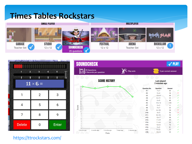### **Times Tables Rockstars**





<https://ttrockstars.com/>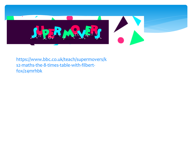

[https://www.bbc.co.uk/teach/supermovers/k](https://www.bbc.co.uk/teach/supermovers/ks2-maths-the-8-times-table-with-filbert-fox/z4mrhbk) [s2-maths-the-8-times-table-with-filbert](https://www.bbc.co.uk/teach/supermovers/ks2-maths-the-8-times-table-with-filbert-fox/z4mrhbk)[fox/z4mrhbk](https://www.bbc.co.uk/teach/supermovers/ks2-maths-the-8-times-table-with-filbert-fox/z4mrhbk)